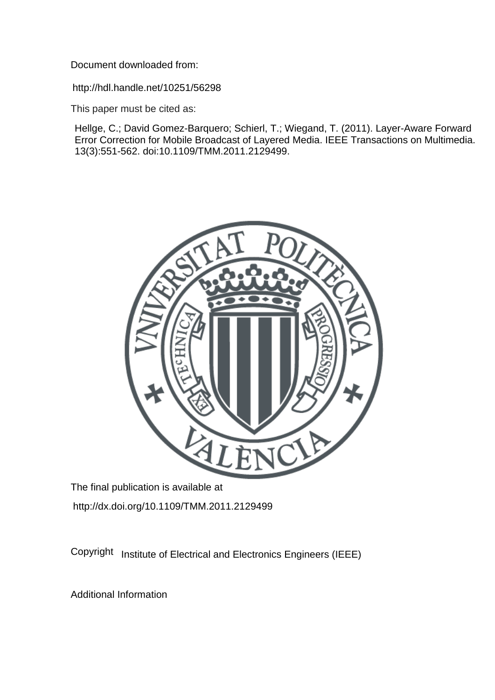Document downloaded from:

http://hdl.handle.net/10251/56298

This paper must be cited as:

Hellge, C.; David Gomez-Barquero; Schierl, T.; Wiegand, T. (2011). Layer-Aware Forward Error Correction for Mobile Broadcast of Layered Media. IEEE Transactions on Multimedia. 13(3):551-562. doi:10.1109/TMM.2011.2129499.



The final publication is available at http://dx.doi.org/10.1109/TMM.2011.2129499

Copyright Institute of Electrical and Electronics Engineers (IEEE)

Additional Information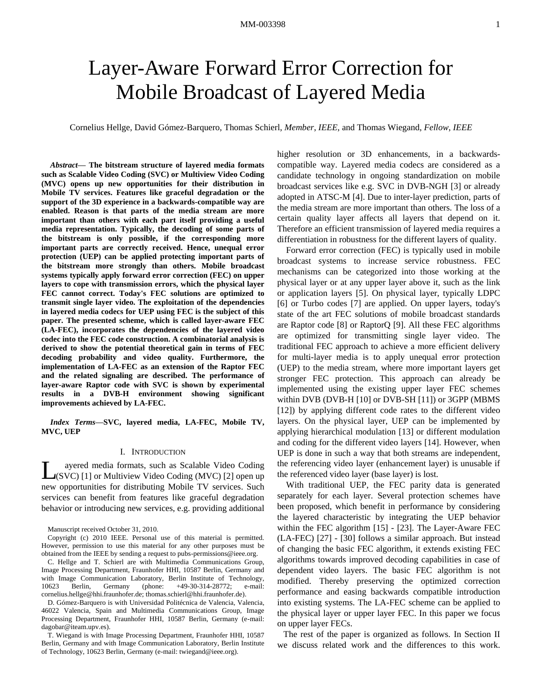# Layer-Aware Forward Error Correction for Mobile Broadcast of Layered Media

Cornelius Hellge, David Gómez-Barquero, Thomas Schierl, *Member*, *IEEE,* and Thomas Wiegand, *Fellow*, *IEEE*

*Abstract***— The bitstream structure of layered media formats such as Scalable Video Coding (SVC) or Multiview Video Coding (MVC) opens up new opportunities for their distribution in Mobile TV services. Features like graceful degradation or the support of the 3D experience in a backwards-compatible way are enabled. Reason is that parts of the media stream are more important than others with each part itself providing a useful media representation. Typically, the decoding of some parts of the bitstream is only possible, if the corresponding more important parts are correctly received. Hence, unequal error protection (UEP) can be applied protecting important parts of the bitstream more strongly than others. Mobile broadcast systems typically apply forward error correction (FEC) on upper layers to cope with transmission errors, which the physical layer FEC cannot correct. Today's FEC solutions are optimized to transmit single layer video. The exploitation of the dependencies in layered media codecs for UEP using FEC is the subject of this paper. The presented scheme, which is called layer-aware FEC (LA-FEC), incorporates the dependencies of the layered video codec into the FEC code construction. A combinatorial analysis is derived to show the potential theoretical gain in terms of FEC decoding probability and video quality. Furthermore, the implementation of LA-FEC as an extension of the Raptor FEC and the related signaling are described. The performance of layer-aware Raptor code with SVC is shown by experimental results in a DVB-H environment showing significant improvements achieved by LA-FEC.**

*Index Terms***—SVC, layered media, LA-FEC, Mobile TV, MVC, UEP**

### I. INTRODUCTION

ayered media formats, such as Scalable Video Coding (SVC) [\[1\]](#page-11-0) or Multiview Video Coding (MVC) [\[2\]](#page-11-1) open up new opportunities for distributing Mobile TV services. Such services can benefit from features like graceful degradation behavior or introducing new services, e.g. providing additional L

C. Hellge and T. Schierl are with Multimedia Communications Group, Image Processing Department, Fraunhofer HHI, 10587 Berlin, Germany and with Image Communication Laboratory, Berlin Institute of Technology, 10623 Berlin, Germany (phone: +49-30-314-28772; e-mail: cornelius.hellge@hhi.fraunhofer.de; thomas.schierl@hhi.fraunhofer.de).

D. Gómez-Barquero is with Universidad Politécnica de Valencia, Valencia, 46022 Valencia, Spain and Multimedia Communications Group, Image Processing Department, Fraunhofer HHI, 10587 Berlin, Germany (e-mail: dagobar@iteam.upv.es).

T. Wiegand is with Image Processing Department, Fraunhofer HHI, 10587 Berlin, Germany and with Image Communication Laboratory, Berlin Institute of Technology, 10623 Berlin, Germany (e-mail: twiegand@ieee.org).

higher resolution or 3D enhancements, in a backwardscompatible way. Layered media codecs are considered as a candidate technology in ongoing standardization on mobile broadcast services like e.g. SVC in DVB-NGH [\[3\]](#page-11-2) or already adopted in ATSC-M [\[4\].](#page-11-3) Due to inter-layer prediction, parts of the media stream are more important than others. The loss of a certain quality layer affects all layers that depend on it. Therefore an efficient transmission of layered media requires a differentiation in robustness for the different layers of quality.

Forward error correction (FEC) is typically used in mobile broadcast systems to increase service robustness. FEC mechanisms can be categorized into those working at the physical layer or at any upper layer above it, such as the link or application layers [\[5\].](#page-11-4) On physical layer, typically LDPC [\[6\]](#page-11-5) or Turbo codes [\[7\]](#page-11-6) are applied. On upper layers, today's state of the art FEC solutions of mobile broadcast standards are Raptor code [\[8\]](#page-11-7) or RaptorQ [\[9\].](#page-11-8) All these FEC algorithms are optimized for transmitting single layer video. The traditional FEC approach to achieve a more efficient delivery for multi-layer media is to apply unequal error protection (UEP) to the media stream, where more important layers get stronger FEC protection. This approach can already be implemented using the existing upper layer FEC schemes within DVB (DVB-[H \[10\]](#page-11-9) or DVB-SH [\[11\]\)](#page-11-10) or 3GPP (MBMS [\[12\]\)](#page-11-11) by applying different code rates to the different video layers. On the physical layer, UEP can be implemented by applying hierarchical modulation [\[13\]](#page-11-12) or different modulation and coding for the different video layers [\[14\].](#page-11-13) However, when UEP is done in such a way that both streams are independent, the referencing video layer (enhancement layer) is unusable if the referenced video layer (base layer) is lost.

With traditional UEP, the FEC parity data is generated separately for each layer. Several protection schemes have been proposed, which benefit in performance by considering the layered characteristic by integrating the UEP behavior within the FEC algorithm [\[15\]](#page-11-14) - [\[23\].](#page-11-15) The Layer-Aware FEC (LA-FEC) [\[27\]](#page-11-16) - [\[30\]](#page-11-17) follows a similar approach. But instead of changing the basic FEC algorithm, it extends existing FEC algorithms towards improved decoding capabilities in case of dependent video layers. The basic FEC algorithm is not modified. Thereby preserving the optimized correction performance and easing backwards compatible introduction into existing systems. The LA-FEC scheme can be applied to the physical layer or upper layer FEC. In this paper we focus on upper layer FECs.

The rest of the paper is organized as follows. In Section [II](#page-2-0) we discuss related work and the differences to this work.

Manuscript received October 31, 2010.

Copyright (c) 2010 IEEE. Personal use of this material is permitted. However, permission to use this material for any other purposes must be obtained from the IEEE by sending a request to pubs-permissions@ieee.org.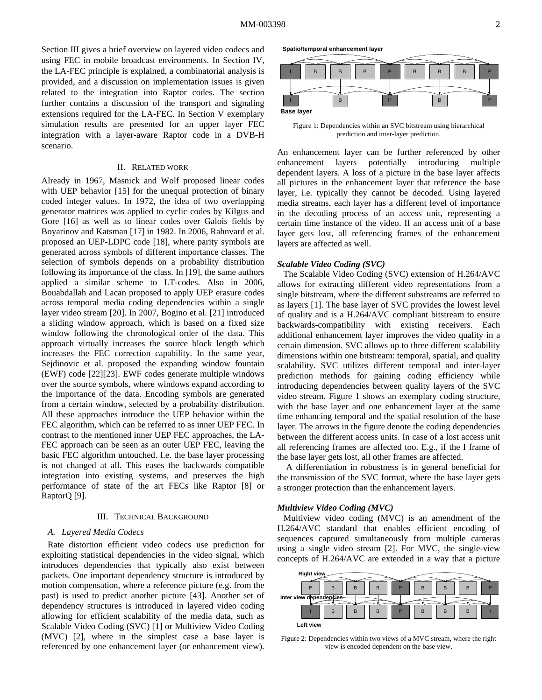Section [III](#page-2-1) gives a brief overview on layered video codecs and using FEC in mobile broadcast environments. In Section [IV,](#page-3-0) the LA-FEC principle is explained, a combinatorial analysis is provided, and a discussion on implementation issues is given related to the integration into Raptor codes. The section further contains a discussion of the transport and signaling extensions required for the LA-FEC. In Section [V](#page-8-0) exemplary simulation results are presented for an upper layer FEC integration with a layer-aware Raptor code in a DVB-H scenario.

## II. RELATED WORK

<span id="page-2-0"></span>Already in 1967, Masnick and Wolf proposed linear codes with UEP behavior [\[15\]](#page-11-14) for the unequal protection of binary coded integer values. In 1972, the idea of two overlapping generator matrices was applied to cyclic codes by Kilgus and Gore [\[16\]](#page-11-18) as well as to linear codes over Galois fields by Boyarinov and Katsman [\[17\]](#page-11-19) in 1982. In 2006, Rahnvard et al. proposed an UEP-LDPC code [\[18\],](#page-11-20) where parity symbols are generated across symbols of different importance classes. The selection of symbols depends on a probability distribution following its importance of the class. In [\[19\],](#page-11-21) the same authors applied a similar scheme to LT-codes. Also in 2006, Bouabdallah and Lacan proposed to apply UEP erasure codes across temporal media coding dependencies within a single layer video stream [\[20\].](#page-11-22) In 2007, Bogino et al. [\[21\]](#page-11-23) introduced a sliding window approach, which is based on a fixed size window following the chronological order of the data. This approach virtually increases the source block length which increases the FEC correction capability. In the same year, Sejdinovic et al. proposed the expanding window fountain (EWF) code [\[22\]\[23\].](#page-11-24) EWF codes generate multiple windows over the source symbols, where windows expand according to the importance of the data. Encoding symbols are generated from a certain window, selected by a probability distribution. All these approaches introduce the UEP behavior within the FEC algorithm, which can be referred to as inner UEP FEC. In contrast to the mentioned inner UEP FEC approaches, the LA-FEC approach can be seen as an outer UEP FEC, leaving the basic FEC algorithm untouched. I.e. the base layer processing is not changed at all. This eases the backwards compatible integration into existing systems, and preserves the high performance of state of the art FECs like Raptor [\[8\]](#page-11-7) or Raptor[Q \[9\].](#page-11-8)

# III. TECHNICAL BACKGROUND

## <span id="page-2-1"></span>*A. Layered Media Codecs*

Rate distortion efficient video codecs use prediction for exploiting statistical dependencies in the video signal, which introduces dependencies that typically also exist between packets. One important dependency structure is introduced by motion compensation, where a reference picture (e.g. from the past) is used to predict another picture [\[43\].](#page-11-25) Another set of dependency structures is introduced in layered video coding allowing for efficient scalability of the media data, such as Scalable Video Coding (SVC) [\[1\]](#page-11-0) or Multiview Video Coding (MVC) [\[2\],](#page-11-1) where in the simplest case a base layer is referenced by one enhancement layer (or enhancement view).

**Spatio/temporal enhancement layer**



<span id="page-2-2"></span>Figure 1: Dependencies within an SVC bitstream using hierarchical prediction and inter-layer prediction.

An enhancement layer can be further referenced by other enhancement layers potentially introducing multiple dependent layers. A loss of a picture in the base layer affects all pictures in the enhancement layer that reference the base layer, i.e. typically they cannot be decoded. Using layered media streams, each layer has a different level of importance in the decoding process of an access unit, representing a certain time instance of the video. If an access unit of a base layer gets lost, all referencing frames of the enhancement layers are affected as well.

#### *Scalable Video Coding (SVC)*

The Scalable Video Coding (SVC) extension of H.264/AVC allows for extracting different video representations from a single bitstream, where the different substreams are referred to as layers [\[1\].](#page-11-0) The base layer of SVC provides the lowest level of quality and is a H.264/AVC compliant bitstream to ensure backwards-compatibility with existing receivers. Each additional enhancement layer improves the video quality in a certain dimension. SVC allows up to three different scalability dimensions within one bitstream: temporal, spatial, and quality scalability. SVC utilizes different temporal and inter-layer prediction methods for gaining coding efficiency while introducing dependencies between quality layers of the SVC video stream. [Figure 1](#page-2-2) shows an exemplary coding structure, with the base layer and one enhancement layer at the same time enhancing temporal and the spatial resolution of the base layer. The arrows in the figure denote the coding dependencies between the different access units. In case of a lost access unit all referencing frames are affected too. E.g., if the I frame of the base layer gets lost, all other frames are affected.

A differentiation in robustness is in general beneficial for the transmission of the SVC format, where the base layer gets a stronger protection than the enhancement layers.

#### *Multiview Video Coding (MVC)*

Multiview video coding (MVC) is an amendment of the H.264/AVC standard that enables efficient encoding of sequences captured simultaneously from multiple cameras using a single video stream [\[2\].](#page-11-1) For MVC, the single-view concepts of H.264/AVC are extended in a way that a picture



<span id="page-2-3"></span>Figure 2: Dependencies within two views of a MVC stream, where the right view is encoded dependent on the base view.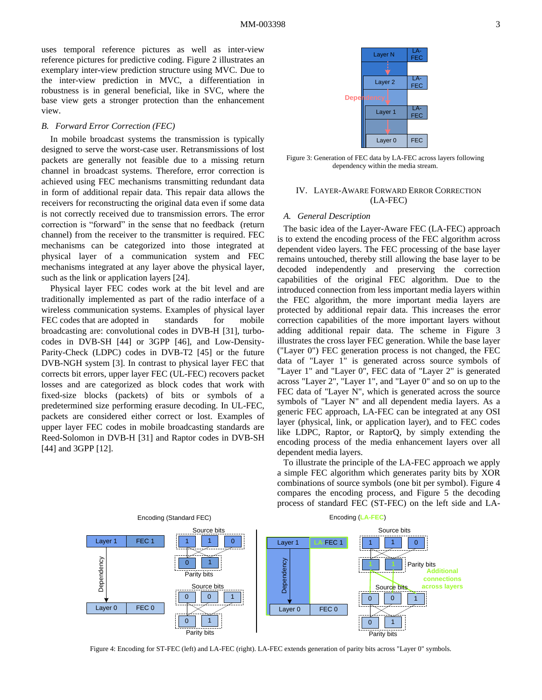uses temporal reference pictures as well as inter-view reference pictures for predictive coding. [Figure 2](#page-2-3) illustrates an exemplary inter-view prediction structure using MVC. Due to the inter-view prediction in MVC, a differentiation in robustness is in general beneficial, like in SVC, where the base view gets a stronger protection than the enhancement view.

## *B. Forward Error Correction (FEC)*

In mobile broadcast systems the transmission is typically designed to serve the worst-case user. Retransmissions of lost packets are generally not feasible due to a missing return channel in broadcast systems. Therefore, error correction is achieved using FEC mechanisms transmitting redundant data in form of additional repair data. This repair data allows the receivers for reconstructing the original data even if some data is not correctly received due to transmission errors. The error correction is "forward" in the sense that no feedback (return channel) from the receiver to the transmitter is required. FEC mechanisms can be categorized into those integrated at physical layer of a communication system and FEC mechanisms integrated at any layer above the physical layer, such as the link or application layers [\[24\].](#page-11-26)

Physical layer FEC codes work at the bit level and are traditionally implemented as part of the radio interface of a wireless communication systems. Examples of physical layer FEC codes that are adopted in standards for mobile broadcasting are: convolutional codes in DVB-H [\[31\],](#page-11-27) turbocodes in DVB-SH [\[44\]](#page-11-28) or 3GPP [\[46\],](#page-11-29) and Low-Density-Parity-Check (LDPC) codes in DVB-T2 [\[45\]](#page-11-30) or the future DVB-NGH system [\[3\].](#page-11-2) In contrast to physical layer FEC that corrects bit errors, upper layer FEC (UL-FEC) recovers packet losses and are categorized as block codes that work with fixed-size blocks (packets) of bits or symbols of a predetermined size performing erasure decoding. In UL-FEC, packets are considered either correct or lost. Examples of upper layer FEC codes in mobile broadcasting standards are Reed-Solomon in DVB-H [\[31\]](#page-11-27) and Raptor codes in DVB-SH [\[44\]](#page-11-28) and 3GP[P \[12\].](#page-11-11)



<span id="page-3-1"></span><span id="page-3-0"></span>Figure 3: Generation of FEC data by LA-FEC across layers following dependency within the media stream.

## IV. LAYER-AWARE FORWARD ERROR CORRECTION (LA-FEC)

#### *A. General Description*

The basic idea of the Layer-Aware FEC (LA-FEC) approach is to extend the encoding process of the FEC algorithm across dependent video layers. The FEC processing of the base layer remains untouched, thereby still allowing the base layer to be decoded independently and preserving the correction capabilities of the original FEC algorithm. Due to the introduced connection from less important media layers within the FEC algorithm, the more important media layers are protected by additional repair data. This increases the error correction capabilities of the more important layers without adding additional repair data. The scheme in [Figure 3](#page-3-1) illustrates the cross layer FEC generation. While the base layer ("Layer 0") FEC generation process is not changed, the FEC data of "Layer 1" is generated across source symbols of "Layer 1" and "Layer 0", FEC data of "Layer 2" is generated across "Layer 2", "Layer 1", and "Layer 0" and so on up to the FEC data of "Layer N", which is generated across the source symbols of "Layer N" and all dependent media layers. As a generic FEC approach, LA-FEC can be integrated at any OSI layer (physical, link, or application layer), and to FEC codes like LDPC, Raptor, or RaptorQ, by simply extending the encoding process of the media enhancement layers over all dependent media layers.

To illustrate the principle of the LA-FEC approach we apply a simple FEC algorithm which generates parity bits by XOR combinations of source symbols (one bit per symbol)[. Figure 4](#page-3-2) compares the encoding process, and [Figure 5](#page-4-0) the decoding process of standard FEC (ST-FEC) on the left side and LA-



<span id="page-3-2"></span>Figure 4: Encoding for ST-FEC (left) and LA-FEC (right). LA-FEC extends generation of parity bits across "Layer 0" symbols.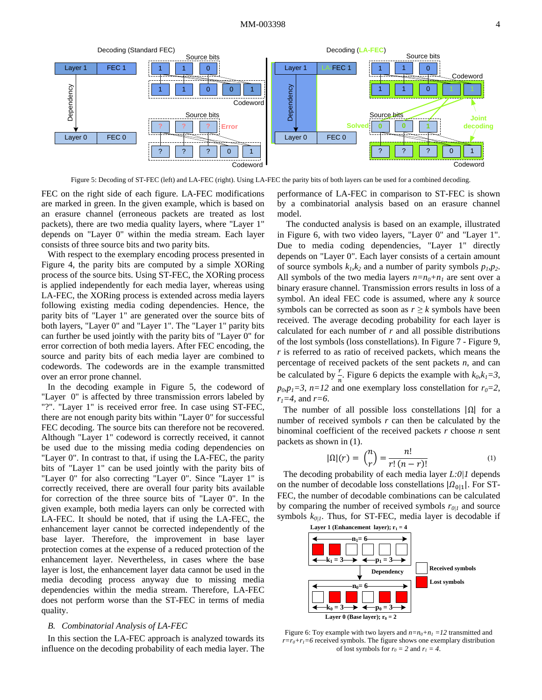

Figure 5: Decoding of ST-FEC (left) and LA-FEC (right). Using LA-FEC the parity bits of both layers can be used for a combined decoding.

<span id="page-4-0"></span>FEC on the right side of each figure. LA-FEC modifications are marked in green. In the given example, which is based on an erasure channel (erroneous packets are treated as lost packets), there are two media quality layers, where "Layer 1" depends on "Layer 0" within the media stream. Each layer consists of three source bits and two parity bits.

With respect to the exemplary encoding process presented in [Figure 4,](#page-3-2) the parity bits are computed by a simple XORing process of the source bits. Using ST-FEC, the XORing process is applied independently for each media layer, whereas using LA-FEC, the XORing process is extended across media layers following existing media coding dependencies. Hence, the parity bits of "Layer 1" are generated over the source bits of both layers, "Layer 0" and "Layer 1". The "Layer 1" parity bits can further be used jointly with the parity bits of "Layer 0" for error correction of both media layers. After FEC encoding, the source and parity bits of each media layer are combined to codewords. The codewords are in the example transmitted over an error prone channel.

In the decoding example in [Figure 5,](#page-4-0) the codeword of "Layer 0" is affected by three transmission errors labeled by "?". "Layer 1" is received error free. In case using ST-FEC, there are not enough parity bits within "Layer 0" for successful FEC decoding. The source bits can therefore not be recovered. Although "Layer 1" codeword is correctly received, it cannot be used due to the missing media coding dependencies on "Layer 0". In contrast to that, if using the LA-FEC, the parity bits of "Layer 1" can be used jointly with the parity bits of "Layer 0" for also correcting "Layer 0". Since "Layer 1" is correctly received, there are overall four parity bits available for correction of the three source bits of "Layer 0". In the given example, both media layers can only be corrected with LA-FEC. It should be noted, that if using the LA-FEC, the enhancement layer cannot be corrected independently of the base layer. Therefore, the improvement in base layer protection comes at the expense of a reduced protection of the enhancement layer. Nevertheless, in cases where the base layer is lost, the enhancement layer data cannot be used in the media decoding process anyway due to missing media dependencies within the media stream. Therefore, LA-FEC does not perform worse than the ST-FEC in terms of media quality.

## <span id="page-4-3"></span>*B. Combinatorial Analysis of LA-FEC*

In this section the LA-FEC approach is analyzed towards its influence on the decoding probability of each media layer. The performance of LA-FEC in comparison to ST-FEC is shown by a combinatorial analysis based on an erasure channel model.

The conducted analysis is based on an example, illustrated in [Figure 6,](#page-4-1) with two video layers, "Layer 0" and "Layer 1". Due to media coding dependencies, "Layer 1" directly depends on "Layer 0". Each layer consists of a certain amount of source symbols  $k_1, k_2$  and a number of parity symbols  $p_1, p_2$ . All symbols of the two media layers  $n=n_0+n_1$  are sent over a binary erasure channel. Transmission errors results in loss of a symbol. An ideal FEC code is assumed, where any *k* source symbols can be corrected as soon as  $r \geq k$  symbols have been received. The average decoding probability for each layer is calculated for each number of *r* and all possible distributions of the lost symbols (loss constellations). In [Figure 7](#page-5-0) - [Figure 9,](#page-7-0) *r* is referred to as ratio of received packets, which means the percentage of received packets of the sent packets *n*, and can be calculated by  $\frac{1}{n}$ . [Figure 6](#page-4-1) depicts the example with  $k_0, k_1 = 3$ ,  $p_0 p_1 = 3$ ,  $n = 12$  and one exemplary loss constellation for  $r_0 = 2$ , *r1=4,* and *r=6*.

The number of all possible loss constellations  $|\Omega|$  for a number of received symbols *r* can then be calculated by the binominal coefficient of the received packets *r* choose *n* sent packets as shown in [\(1\).](#page-4-2)

<span id="page-4-2"></span>
$$
|\Omega|(r) = \binom{n}{r} = \frac{n!}{r!(n-r)!} \tag{1}
$$

The decoding probability of each media layer *L:0|1* depends on the number of decodable loss constellations  $|\Omega_{011}|$ . For ST-FEC, the number of decodable combinations can be calculated by comparing the number of received symbols *r0|1* and source symbols  $k_{0/I}$ . Thus, for ST-FEC, media layer is decodable if



<span id="page-4-1"></span>Figure 6: Toy example with two layers and  $n=n_0+n_1=12$  transmitted and  $r=r_0+r_1=6$  received symbols. The figure shows one exemplary distribution of lost symbols for  $r_0 = 2$  and  $r_1 = 4$ .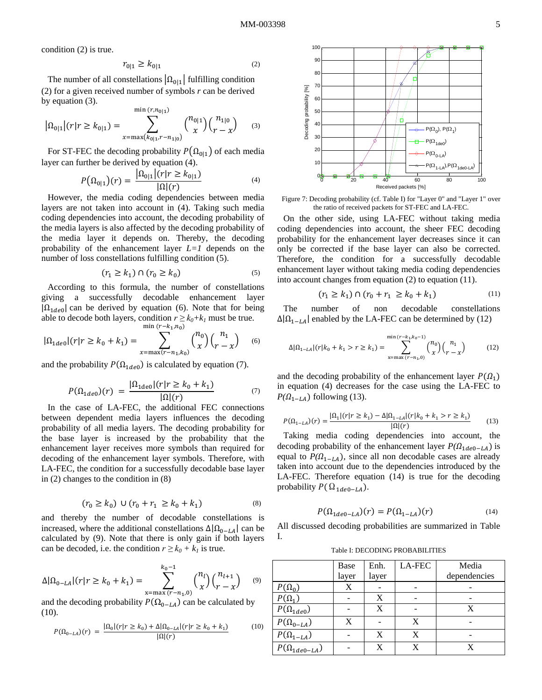condition [\(2\)](#page-5-1) is true.

$$
r_{0|1} \ge k_{0|1} \tag{2}
$$

The number of all constellations  $|\Omega_{011}|$  fulfilling condition [\(2\)](#page-5-1) for a given received number of symbols *r* can be derived by equation [\(3\).](#page-5-2)

$$
|\Omega_{0|1}|(r|r \ge k_{0|1}) = \sum_{x=\max(k_{0|1},r-n_{1|0})}^{\min(r,n_{0|1})} {\binom{n_{0|1}}{x}} {\binom{n_{1|0}}{r-x}} \qquad (3)
$$

For ST-FEC the decoding probability  $P(\Omega_{0|1})$  of each media layer can further be derived by equation [\(4\).](#page-5-3)

$$
P(\Omega_{0|1})(r) = \frac{|\Omega_{0|1}|(r|r \ge k_{0|1})}{|\Omega|(r)}
$$
(4)

However, the media coding dependencies between media layers are not taken into account in [\(4\).](#page-5-3) Taking such media coding dependencies into account, the decoding probability of the media layers is also affected by the decoding probability of the media layer it depends on. Thereby, the decoding probability of the enhancement layer *L=1* depends on the number of loss constellations fulfilling condition [\(5\).](#page-5-4)

$$
(r_1 \ge k_1) \cap (r_0 \ge k_0) \tag{5}
$$

According to this formula, the number of constellations giving a successfully decodable enhancement layer  $|\Omega_{1de0}|$  can be derived by equation [\(6\).](#page-5-5) Note that for being able to decode both layers, condition  $r \ge k_0 + k_1$  must be true.

$$
|\Omega_{1de0}|(r|r \ge k_0 + k_1) = \sum_{x = \max(r - n_1, k_0)}^{\min(r - k_1, n_0)} {n_0 \choose x} {n_1 \choose r - x}
$$
 (6)

and the probability  $P(\Omega_{1de0})$  is calculated by equation [\(7\).](#page-5-6)

$$
P(\Omega_{1de0})(r) = \frac{|\Omega_{1de0}|(r|r \ge k_0 + k_1)}{|\Omega|(r)}
$$
(7)

In the case of LA-FEC, the additional FEC connections between dependent media layers influences the decoding probability of all media layers. The decoding probability for the base layer is increased by the probability that the enhancement layer receives more symbols than required for decoding of the enhancement layer symbols. Therefore, with LA-FEC, the condition for a successfully decodable base layer in [\(2\)](#page-5-1) changes to the condition i[n \(8\)](#page-5-7)

$$
(r_0 \ge k_0) \cup (r_0 + r_1 \ge k_0 + k_1) \tag{8}
$$

and thereby the number of decodable constellations is increased, where the additional constellations  $\Delta |\Omega_{0-LA}|$  can be calculated by [\(9\).](#page-5-8) Note that there is only gain if both layers can be decoded, i.e. the condition  $r \ge k_0 + k_1$  is true.

$$
\Delta |\Omega_{0-LA}|(r|r \ge k_0 + k_1) = \sum_{x=\max(r-n_1,0)}^{k_0-1} {n_l \choose x} {n_{l+1} \choose r-x}
$$
(9)

and the decoding probability  $P(\Omega_{0-LA})$  can be calculated by [\(10\).](#page-5-9)

$$
P(\Omega_{0-LA})(r) = \frac{|\Omega_0|(r|r \ge k_0) + \Delta |\Omega_{0-LA}|(r|r \ge k_0 + k_1)}{|\Omega|(r)}
$$
(10)

<span id="page-5-1"></span>

<span id="page-5-3"></span><span id="page-5-2"></span><span id="page-5-0"></span>Figure 7: Decoding probability (cf[. Table I\)](#page-5-14) for "Layer 0" and "Layer 1" over the ratio of received packets for ST-FEC and LA-FEC.

On the other side, using LA-FEC without taking media coding dependencies into account, the sheer FEC decoding probability for the enhancement layer decreases since it can only be corrected if the base layer can also be corrected. Therefore, the condition for a successfully decodable enhancement layer without taking media coding dependencies into account changes from equation [\(2\)](#page-5-1) to equation [\(11\).](#page-5-10)

<span id="page-5-11"></span><span id="page-5-10"></span>
$$
(r_1 \ge k_1) \cap (r_0 + r_1 \ge k_0 + k_1) \tag{11}
$$

<span id="page-5-5"></span><span id="page-5-4"></span>The number of non decodable constellations  $\Delta |\Omega_{1-LA}|$  enabled by the LA-FEC can be determined by [\(12\)](#page-5-11)

$$
\Delta |\Omega_{1-LA}|(r|k_0 + k_1 > r \ge k_1) = \sum_{x = \max(r - n_1, 0)}^{\min(r - k_1, k_0 - 1)} {n_0 \choose x} {n_1 \choose r - x}
$$
(12)

<span id="page-5-6"></span>and the decoding probability of the enhancement layer  $P(\Omega_1)$ in equation [\(4\)](#page-5-3) decreases for the case using the LA-FEC to  $P(\Omega_{1-LA})$  following [\(13\).](#page-5-12)

$$
P(\Omega_{1-LA})(r) = \frac{|\Omega_1|(r|r \ge k_1) - \Delta |\Omega_{1-LA}|(r|k_0 + k_1 > r \ge k_1)}{|\Omega|(r)} \tag{13}
$$

Taking media coding dependencies into account, the decoding probability of the enhancement layer  $P(\Omega_{1de0-LA})$  is equal to  $P(\Omega_{1-LA})$ , since all non decodable cases are already taken into account due to the dependencies introduced by the LA-FEC. Therefore equation [\(14\)](#page-5-13) is true for the decoding probability  $P(\Omega_{1de0-LA})$ .

<span id="page-5-12"></span>
$$
P(\Omega_{1de0-LA})(r) = P(\Omega_{1-LA})(r)
$$
\n(14)

<span id="page-5-7"></span>All discussed decoding probabilities are summarized in [Table](#page-5-14)  [I.](#page-5-14)

<span id="page-5-13"></span>Table I: DECODING PROBABILITIES

<span id="page-5-14"></span><span id="page-5-9"></span><span id="page-5-8"></span>

|                       | Base  | Enh.  | LA-FEC | Media        |
|-----------------------|-------|-------|--------|--------------|
|                       | layer | layer |        | dependencies |
| $P(\Omega_0)$         | X     |       |        |              |
| $P(\Omega_1)$         |       | X     |        |              |
| $P(\Omega_{1de0})$    |       | X     |        | X            |
| $P(\Omega_{0-LA})$    | X     |       | X      |              |
| $P(\Omega_{1-LA})$    |       | X     | X      |              |
| $P(\Omega_{1de0-LA})$ |       | X     | X      | X            |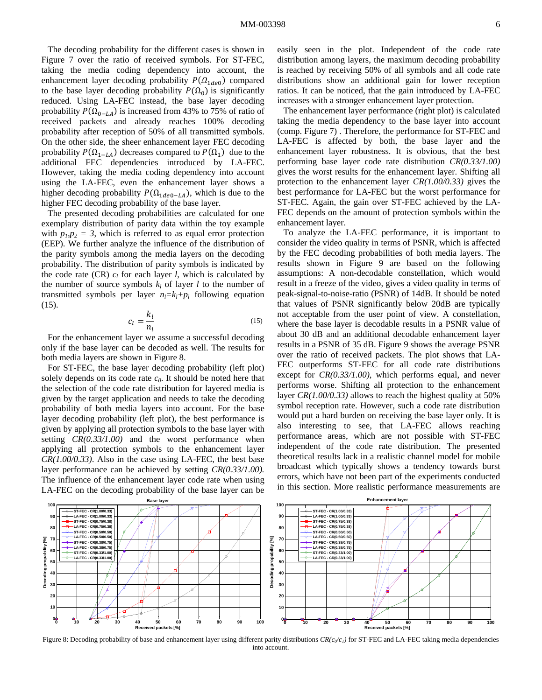The decoding probability for the different cases is shown in [Figure 7](#page-5-0) over the ratio of received symbols. For ST-FEC, taking the media coding dependency into account, the enhancement layer decoding probability  $P(\Omega_{1de0})$  compared to the base layer decoding probability  $P(\Omega_0)$  is significantly reduced. Using LA-FEC instead, the base layer decoding probability  $P(\Omega_{0-LA})$  is increased from 43% to 75% of ratio of received packets and already reaches 100% decoding probability after reception of 50% of all transmitted symbols. On the other side, the sheer enhancement layer FEC decoding probability  $P(\Omega_{1-LA})$  decreases compared to  $P(\Omega_1)$  due to the additional FEC dependencies introduced by LA-FEC. However, taking the media coding dependency into account using the LA-FEC, even the enhancement layer shows a higher decoding probability  $P(\Omega_{1de0-LA})$ , which is due to the higher FEC decoding probability of the base layer.

The presented decoding probabilities are calculated for one exemplary distribution of parity data within the toy example with  $p_l$ ,  $p_2 = 3$ , which is referred to as equal error protection (EEP). We further analyze the influence of the distribution of the parity symbols among the media layers on the decoding probability. The distribution of parity symbols is indicated by the code rate  $(CR)$   $c_l$  for each layer *l*, which is calculated by the number of source symbols  $k_l$  of layer  $l$  to the number of transmitted symbols per layer  $n_l = k_l + p_l$  following equation [\(15\).](#page-6-0)

$$
c_l = \frac{k_l}{n_l} \tag{15}
$$

For the enhancement layer we assume a successful decoding only if the base layer can be decoded as well. The results for both media layers are shown in [Figure 8.](#page-6-1)

For ST-FEC, the base layer decoding probability (left plot) solely depends on its code rate *c0*. It should be noted here that the selection of the code rate distribution for layered media is given by the target application and needs to take the decoding probability of both media layers into account. For the base layer decoding probability (left plot), the best performance is given by applying all protection symbols to the base layer with setting *CR(0.33/1.00)* and the worst performance when applying all protection symbols to the enhancement layer *CR(1.00/0.33)*. Also in the case using LA-FEC, the best base layer performance can be achieved by setting *CR(0.33/1.00).* The influence of the enhancement layer code rate when using LA-FEC on the decoding probability of the base layer can be

easily seen in the plot. Independent of the code rate distribution among layers, the maximum decoding probability is reached by receiving 50% of all symbols and all code rate distributions show an additional gain for lower reception ratios. It can be noticed, that the gain introduced by LA-FEC increases with a stronger enhancement layer protection.

The enhancement layer performance (right plot) is calculated taking the media dependency to the base layer into account (comp. [Figure 7\)](#page-5-0) . Therefore, the performance for ST-FEC and LA-FEC is affected by both, the base layer and the enhancement layer robustness. It is obvious, that the best performing base layer code rate distribution *CR(0.33/1.00)* gives the worst results for the enhancement layer. Shifting all protection to the enhancement layer *CR(1.00/0.33)* gives the best performance for LA-FEC but the worst performance for ST-FEC. Again, the gain over ST-FEC achieved by the LA-FEC depends on the amount of protection symbols within the enhancement layer.

<span id="page-6-0"></span>To analyze the LA-FEC performance, it is important to consider the video quality in terms of PSNR, which is affected by the FEC decoding probabilities of both media layers. The results shown in [Figure 9](#page-7-0) are based on the following assumptions: A non-decodable constellation, which would result in a freeze of the video, gives a video quality in terms of peak-signal-to-noise-ratio (PSNR) of 14dB. It should be noted that values of PSNR significantly below 20dB are typically not acceptable from the user point of view. A constellation, where the base layer is decodable results in a PSNR value of about 30 dB and an additional decodable enhancement layer results in a PSNR of 35 dB. [Figure 9](#page-7-0) shows the average PSNR over the ratio of received packets. The plot shows that LA-FEC outperforms ST-FEC for all code rate distributions except for *CR(0.33/1.00)*, which performs equal, and never performs worse. Shifting all protection to the enhancement layer *CR(1.00/0.33)* allows to reach the highest quality at 50% symbol reception rate. However, such a code rate distribution would put a hard burden on receiving the base layer only. It is also interesting to see, that LA-FEC allows reaching performance areas, which are not possible with ST-FEC independent of the code rate distribution. The presented theoretical results lack in a realistic channel model for mobile broadcast which typically shows a tendency towards burst errors, which have not been part of the experiments conducted in this section. More realistic performance measurements are



<span id="page-6-1"></span>Figure 8: Decoding probability of base and enhancement layer using different parity distributions *CR(c0/c1)* for ST-FEC and LA-FEC taking media dependencies into account.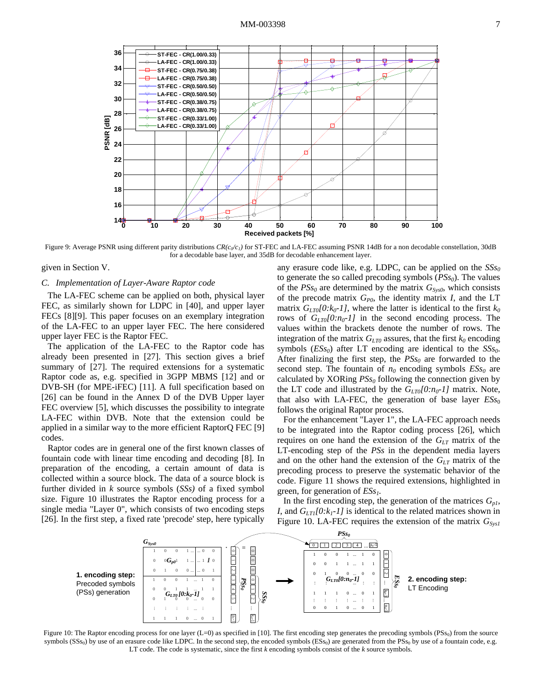

<span id="page-7-0"></span>Figure 9: Average PSNR using different parity distributions  $CR(c<sub>0</sub>/c<sub>1</sub>)$  for ST-FEC and LA-FEC assuming PSNR 14dB for a non decodable constellation, 30dB for a decodable base layer, and 35dB for decodable enhancement layer.

#### given in Section [V.](#page-8-0)

## *C. Implementation of Layer-Aware Raptor code*

The LA-FEC scheme can be applied on both, physical layer FEC, as similarly shown for LDPC in [40], and upper layer FECs [\[8\]\[9\].](#page-11-7) This paper focuses on an exemplary integration of the LA-FEC to an upper layer FEC. The here considered upper layer FEC is the Raptor FEC.

The application of the LA-FEC to the Raptor code has already been presented in [\[27\].](#page-11-16) This section gives a brief summary of [\[27\].](#page-11-16) The required extensions for a systematic Raptor code as, e.g. specified in 3GPP MBMS [\[12\]](#page-11-11) and or DVB-SH (for MPE-iFEC) [\[11\].](#page-11-10) A full specification based on [\[26\]](#page-11-31) can be found in the Annex D of the DVB Upper layer FEC overview [\[5\],](#page-11-4) which discusses the possibility to integrate LA-FEC within DVB. Note that the extension could be applied in a similar way to the more efficient RaptorQ FEC [\[9\]](#page-11-8) codes.

Raptor codes are in general one of the first known classes of fountain code with linear time encoding and decoding [\[8\].](#page-11-7) In preparation of the encoding, a certain amount of data is collected within a source block. The data of a source block is further divided in *k* source symbols (*SSs)* of a fixed symbol size. [Figure 10](#page-7-1) illustrates the Raptor encoding process for a single media "Layer 0", which consists of two encoding steps [\[26\].](#page-11-31) In the first step, a fixed rate 'precode' step, here typically

any erasure code like, e.g. LDPC, can be applied on the *SSs<sup>0</sup>* to generate the so called precoding symbols (*PSs0*). The values of the  $PSs_0$  are determined by the matrix  $G_{Sys0}$ , which consists of the precode matrix *GP0*, the identity matrix *I*, and the LT matrix  $G_{LT0}[0:k_0-1]$ , where the latter is identical to the first  $k_0$ rows of *GLT0[0:n0-1]* in the second encoding process. The values within the brackets denote the number of rows. The integration of the matrix  $G_{LT0}$  assures, that the first  $k_0$  encoding symbols (*ESs0*) after LT encoding are identical to the *SSs0*. After finalizing the first step, the  $PSs_0$  are forwarded to the second step. The fountain of *n<sup>0</sup>* encoding symbols *ESs<sup>0</sup>* are calculated by XORing *PSs<sup>0</sup>* following the connection given by the LT code and illustrated by the  $G_{LTO}$ [0:n<sub>0</sub>-1] matrix. Note, that also with LA-FEC, the generation of base layer  $ES_{0}$ follows the original Raptor process.

For the enhancement "Layer 1", the LA-FEC approach needs to be integrated into the Raptor coding process [\[26\],](#page-11-31) which requires on one hand the extension of the  $G_{LT}$  matrix of the LT-encoding step of the *PSs* in the dependent media layers and on the other hand the extension of the *GLT* matrix of the precoding process to preserve the systematic behavior of the code. [Figure 11](#page-8-1) shows the required extensions, highlighted in green, for generation of *ESs1.*

In the first encoding step, the generation of the matrices  $G_{p,l}$ , *I*, and *GLT1[0:k1-1]* is identical to the related matrices shown in [Figure 10.](#page-7-1) LA-FEC requires the extension of the matrix *GSys1*



<span id="page-7-1"></span>Figure 10: The Raptor encoding process for one layer (L=0) as specified i[n \[10\].](#page-11-9) The first encoding step generates the precoding symbols (PSs<sub>0</sub>) from the source symbols  $(SSs<sub>0</sub>)$  by use of an erasure code like LDPC. In the second step, the encoded symbols  $(ESs<sub>0</sub>)$  are generated from the  $PSs<sub>0</sub>$  by use of a fountain code, e.g. LT code. The code is systematic, since the first *k* encoding symbols consist of the *k* source symbols.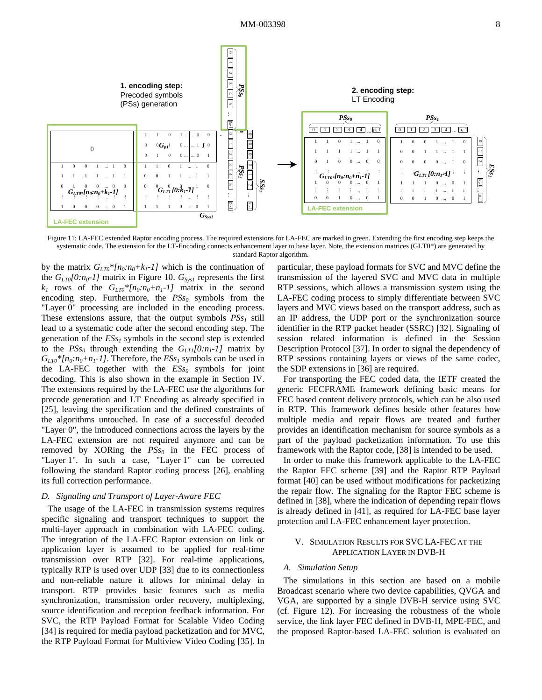

<span id="page-8-1"></span>Figure 11: LA-FEC extended Raptor encoding process. The required extensions for LA-FEC are marked in green. Extending the first encoding step keeps the systematic code. The extension for the LT-Encoding connects enhancement layer to base layer. Note, the extension matrices (GLT0\*) are generated by standard Raptor algorithm.

by the matrix  $G_{LT0}$ <sup>\*</sup>[ $n_0$ *:n*<sub>0</sub>+ $k_1$ -1] which is the continuation of the  $G_{LTO}[0:n_0-1]$  matrix in [Figure 10.](#page-7-1)  $G_{Sys1}$  represents the first  $k_l$  rows of the  $G_{LT0}$ <sup>\*</sup>[ $n_0$ *:n*<sub>0</sub>+n<sub>1</sub>-1] matrix in the second encoding step. Furthermore, the *PSs<sup>0</sup>* symbols from the "Layer 0" processing are included in the encoding process. These extensions assure, that the output symbols *PSs<sup>1</sup>* still lead to a systematic code after the second encoding step. The generation of the *ESs<sup>1</sup>* symbols in the second step is extended to the  $PSs_0$  through extending the  $G_{LT}$ [0:n<sub>1</sub>-1] matrix by  $G_{LTO}$ <sup>\*</sup>[ $n_0$ : $n_0$ + $n_1$ -1]. Therefore, the *ESs<sub>1</sub>* symbols can be used in the LA-FEC together with the  $ESS_0$  symbols for joint decoding. This is also shown in the example in Section [IV.](#page-3-0)  The extensions required by the LA-FEC use the algorithms for precode generation and LT Encoding as already specified in [\[25\],](#page-11-32) leaving the specification and the defined constraints of the algorithms untouched. In case of a successful decoded "Layer 0", the introduced connections across the layers by the LA-FEC extension are not required anymore and can be removed by XORing the *PSs<sup>0</sup>* in the FEC process of "Layer 1"*.* In such a case, "Layer 1" can be corrected following the standard Raptor coding process [\[26\],](#page-11-31) enabling its full correction performance.

#### *D. Signaling and Transport of Layer-Aware FEC*

The usage of the LA-FEC in transmission systems requires specific signaling and transport techniques to support the multi-layer approach in combination with LA-FEC coding. The integration of the LA-FEC Raptor extension on link or application layer is assumed to be applied for real-time transmission over RTP [\[32\].](#page-11-33) For real-time applications, typically RTP is used over UDP [\[33\]](#page-11-34) due to its connectionless and non-reliable nature it allows for minimal delay in transport. RTP provides basic features such as media synchronization, transmission order recovery, multiplexing, source identification and reception feedback information. For SVC, the RTP Payload Format for Scalable Video Coding [\[34\]](#page-11-35) is required for media payload packetization and for MVC, the RTP Payload Format for Multiview Video Coding [\[35\].](#page-11-36) In

particular, these payload formats for SVC and MVC define the transmission of the layered SVC and MVC data in multiple RTP sessions, which allows a transmission system using the LA-FEC coding process to simply differentiate between SVC layers and MVC views based on the transport address, such as an IP address, the UDP port or the synchronization source identifier in the RTP packet header (SSRC) [\[32\].](#page-11-33) Signaling of session related information is defined in the Session Description Protocol [\[37\].](#page-11-37) In order to signal the dependency of RTP sessions containing layers or views of the same codec, the SDP extensions in [\[36\]](#page-11-38) are required.

For transporting the FEC coded data, the IETF created the generic FECFRAME framework defining basic means for FEC based content delivery protocols, which can be also used in RTP. This framework defines beside other features how multiple media and repair flows are treated and further provides an identification mechanism for source symbols as a part of the payload packetization information. To use this framework with the Raptor code, [\[38\]](#page-11-39) is intended to be used.

In order to make this framework applicable to the LA-FEC the Raptor FEC scheme [\[39\]](#page-11-40) and the Raptor RTP Payload format [\[40\]](#page-11-41) can be used without modifications for packetizing the repair flow. The signaling for the Raptor FEC scheme is defined in [\[38\],](#page-11-39) where the indication of depending repair flows is already defined in [\[41\],](#page-11-42) as required for LA-FEC base layer protection and LA-FEC enhancement layer protection.

## <span id="page-8-0"></span>V. SIMULATION RESULTS FOR SVC LA-FEC AT THE APPLICATION LAYER IN DVB-H

#### *A. Simulation Setup*

The simulations in this section are based on a mobile Broadcast scenario where two device capabilities, QVGA and VGA, are supported by a single DVB-H service using SVC (cf. [Figure](#page-9-0) 12). For increasing the robustness of the whole service, the link layer FEC defined in DVB-H, MPE-FEC, and the proposed Raptor-based LA-FEC solution is evaluated on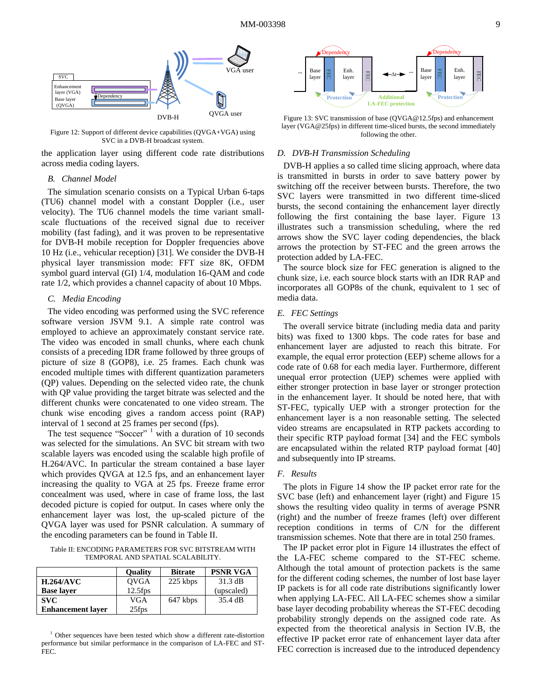

<span id="page-9-0"></span>Figure 12: Support of different device capabilities (QVGA+VGA) using SVC in a DVB-H broadcast system.

the application layer using different code rate distributions across media coding layers.

# *B. Channel Model*

The simulation scenario consists on a Typical Urban 6-taps (TU6) channel model with a constant Doppler (i.e., user velocity). The TU6 channel models the time variant smallscale fluctuations of the received signal due to receiver mobility (fast fading), and it was proven to be representative for DVB-H mobile reception for Doppler frequencies above 10 Hz (i.e., vehicular reception) [\[31\].](#page-11-27) We consider the DVB-H physical layer transmission mode: FFT size 8K, OFDM symbol guard interval (GI) 1/4, modulation 16-QAM and code rate 1/2, which provides a channel capacity of about 10 Mbps.

### *C. Media Encoding*

The video encoding was performed using the SVC reference software version JSVM 9.1. A simple rate control was employed to achieve an approximately constant service rate. The video was encoded in small chunks, where each chunk consists of a preceding IDR frame followed by three groups of picture of size 8 (GOP8), i.e. 25 frames. Each chunk was encoded multiple times with different quantization parameters (QP) values. Depending on the selected video rate, the chunk with QP value providing the target bitrate was selected and the different chunks were concatenated to one video stream. The chunk wise encoding gives a random access point (RAP) interval of 1 second at 25 frames per second (fps).

The test sequence "Soccer"  $\frac{1}{1}$  with a duration of 10 seconds was selected for the simulations. An SVC bit stream with two scalable layers was encoded using the scalable high profile of H.264/AVC. In particular the stream contained a base layer which provides QVGA at 12.5 fps, and an enhancement layer increasing the quality to VGA at 25 fps. Freeze frame error concealment was used, where in case of frame loss, the last decoded picture is copied for output. In cases where only the enhancement layer was lost, the up-scaled picture of the QVGA layer was used for PSNR calculation. A summary of the encoding parameters can be found in [Table II.](#page-9-1)

<span id="page-9-1"></span>Table II: ENCODING PARAMETERS FOR SVC BITSTREAM WITH TEMPORAL AND SPATIAL SCALABILITY.

|                          | <b>Ouality</b> | <b>Bitrate</b> | <b>PSNR VGA</b>   |
|--------------------------|----------------|----------------|-------------------|
| H.264/AVC                | <b>OVGA</b>    | 225 kbps       | $31.3 \text{ dB}$ |
| <b>Base laver</b>        | $12.5$ fps     |                | (upscaled)        |
| <b>SVC</b>               | VGA            | 647 kbps       | 35.4 dB           |
| <b>Enhancement layer</b> | 25fps          |                |                   |

<sup>1</sup> Other sequences have been tested which show a different rate-distortion performance but similar performance in the comparison of LA-FEC and ST-FEC.



<span id="page-9-2"></span>Figure 13: SVC transmission of base (QVGA@12.5fps) and enhancement layer (VGA@25fps) in different time-sliced bursts, the second immediately following the other.

#### *D. DVB-H Transmission Scheduling*

DVB-H applies a so called time slicing approach, where data is transmitted in bursts in order to save battery power by switching off the receiver between bursts. Therefore, the two SVC layers were transmitted in two different time-sliced bursts, the second containing the enhancement layer directly following the first containing the base layer. [Figure](#page-9-2) 13 illustrates such a transmission scheduling, where the red arrows show the SVC layer coding dependencies, the black arrows the protection by ST-FEC and the green arrows the protection added by LA-FEC.

The source block size for FEC generation is aligned to the chunk size, i.e. each source block starts with an IDR RAP and incorporates all GOP8s of the chunk, equivalent to 1 sec of media data.

## *E. FEC Settings*

The overall service bitrate (including media data and parity bits) was fixed to 1300 kbps. The code rates for base and enhancement layer are adjusted to reach this bitrate. For example, the equal error protection (EEP) scheme allows for a code rate of 0.68 for each media layer. Furthermore, different unequal error protection (UEP) schemes were applied with either stronger protection in base layer or stronger protection in the enhancement layer. It should be noted here, that with ST-FEC, typically UEP with a stronger protection for the enhancement layer is a non reasonable setting. The selected video streams are encapsulated in RTP packets according to their specific RTP payload format [\[34\]](#page-11-35) and the FEC symbols are encapsulated within the related RTP payload format [\[40\]](#page-11-41) and subsequently into IP streams.

# *F. Results*

The plots in [Figure 14](#page-10-0) show the IP packet error rate for the SVC base (left) and enhancement layer (right) and [Figure 15](#page-10-1) shows the resulting video quality in terms of average PSNR (right) and the number of freeze frames (left) over different reception conditions in terms of C/N for the different transmission schemes. Note that there are in total 250 frames.

The IP packet error plot in [Figure 14](#page-10-0) illustrates the effect of the LA-FEC scheme compared to the ST-FEC scheme. Although the total amount of protection packets is the same for the different coding schemes, the number of lost base layer IP packets is for all code rate distributions significantly lower when applying LA-FEC. All LA-FEC schemes show a similar base layer decoding probability whereas the ST-FEC decoding probability strongly depends on the assigned code rate. As expected from the theoretical analysis in Section [IV.B,](#page-4-3) the effective IP packet error rate of enhancement layer data after FEC correction is increased due to the introduced dependency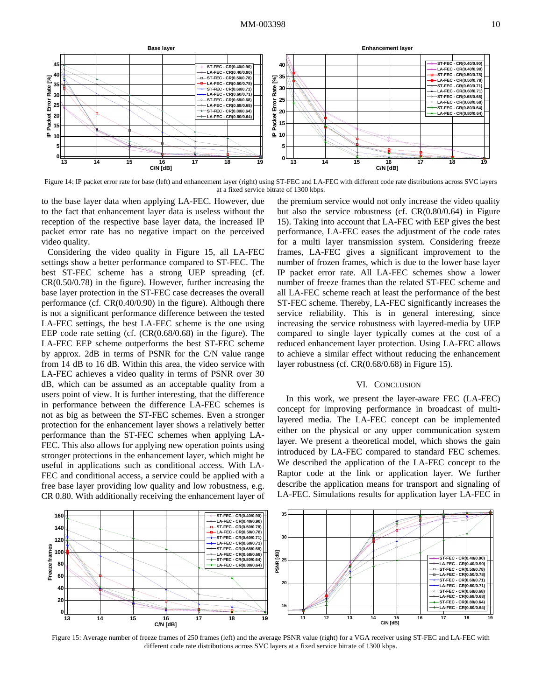

<span id="page-10-0"></span>Figure 14: IP packet error rate for base (left) and enhancement layer (right) using ST-FEC and LA-FEC with different code rate distributions across SVC layers at a fixed service bitrate of 1300 kbps.

to the base layer data when applying LA-FEC. However, due to the fact that enhancement layer data is useless without the reception of the respective base layer data, the increased IP packet error rate has no negative impact on the perceived video quality.

Considering the video quality in [Figure 15,](#page-10-1) all LA-FEC settings show a better performance compared to ST-FEC. The best ST-FEC scheme has a strong UEP spreading (cf. CR(0.50/0.78) in the figure). However, further increasing the base layer protection in the ST-FEC case decreases the overall performance (cf. CR(0.40/0.90) in the figure). Although there is not a significant performance difference between the tested LA-FEC settings, the best LA-FEC scheme is the one using EEP code rate setting (cf. (CR(0.68/0.68) in the figure). The LA-FEC EEP scheme outperforms the best ST-FEC scheme by approx. 2dB in terms of PSNR for the C/N value range from 14 dB to 16 dB. Within this area, the video service with LA-FEC achieves a video quality in terms of PSNR over 30 dB, which can be assumed as an acceptable quality from a users point of view. It is further interesting, that the difference in performance between the difference LA-FEC schemes is not as big as between the ST-FEC schemes. Even a stronger protection for the enhancement layer shows a relatively better performance than the ST-FEC schemes when applying LA-FEC. This also allows for applying new operation points using stronger protections in the enhancement layer, which might be useful in applications such as conditional access. With LA-FEC and conditional access, a service could be applied with a free base layer providing low quality and low robustness, e.g. CR 0.80. With additionally receiving the enhancement layer of the premium service would not only increase the video quality but also the service robustness (cf. CR(0.80/0.64) in [Figure](#page-10-1)  [15\)](#page-10-1). Taking into account that LA-FEC with EEP gives the best performance, LA-FEC eases the adjustment of the code rates for a multi layer transmission system. Considering freeze frames, LA-FEC gives a significant improvement to the number of frozen frames, which is due to the lower base layer IP packet error rate. All LA-FEC schemes show a lower number of freeze frames than the related ST-FEC scheme and all LA-FEC scheme reach at least the performance of the best ST-FEC scheme. Thereby, LA-FEC significantly increases the service reliability. This is in general interesting, since increasing the service robustness with layered-media by UEP compared to single layer typically comes at the cost of a reduced enhancement layer protection. Using LA-FEC allows to achieve a similar effect without reducing the enhancement layer robustness (cf. CR(0.68/0.68) in [Figure 15\)](#page-10-1).

#### VI. CONCLUSION

In this work, we present the layer-aware FEC (LA-FEC) concept for improving performance in broadcast of multilayered media. The LA-FEC concept can be implemented either on the physical or any upper communication system layer. We present a theoretical model, which shows the gain introduced by LA-FEC compared to standard FEC schemes. We described the application of the LA-FEC concept to the Raptor code at the link or application layer. We further describe the application means for transport and signaling of LA-FEC. Simulations results for application layer LA-FEC in



<span id="page-10-1"></span>Figure 15: Average number of freeze frames of 250 frames (left) and the average PSNR value (right) for a VGA receiver using ST-FEC and LA-FEC with different code rate distributions across SVC layers at a fixed service bitrate of 1300 kbps.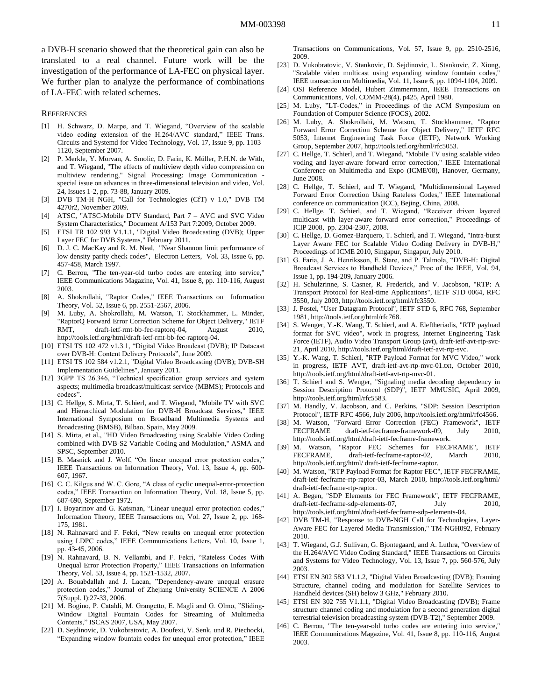a DVB-H scenario showed that the theoretical gain can also be translated to a real channel. Future work will be the investigation of the performance of LA-FEC on physical layer. We further plan to analyze the performance of combinations of LA-FEC with related schemes.

#### **REFERENCES**

- <span id="page-11-0"></span>[1] H. Schwarz, D. Marpe, and T. Wiegand, "Overview of the scalable video coding extension of the H.264/AVC standard," IEEE Trans. Circuits and Systemd for Video Technology, Vol. 17, Issue 9, pp. 1103– 1120, September 2007.
- <span id="page-11-1"></span>[2] P. Merkle, Y. Morvan, A. Smolic, D. Farin, K. Müller, P.H.N. de With, and T. Wiegand, "The effects of multiview depth video compression on multiview rendering," Signal Processing: Image Communication special issue on advances in three-dimensional television and video, Vol. 24, Issues 1-2, pp. 73-88, January 2009.
- <span id="page-11-2"></span>[3] DVB TM-H NGH, "Call for Technologies (CfT) v 1.0," DVB TM 4270r2, November 2009.
- <span id="page-11-3"></span>[4] ATSC, "ATSC-Mobile DTV Standard, Part 7 – AVC and SVC Video System Characteristics," Document A/153 Part 7:2009, October 2009.
- <span id="page-11-4"></span>ETSI TR 102 993 V1.1.1, "Digital Video Broadcasting (DVB); Upper Layer FEC for DVB Systems," February 2011.
- <span id="page-11-5"></span>[6] D. J. C. MacKay and R. M. Neal, "Near Shannon limit performance of low density parity check codes", Electron Letters, Vol. 33, Issue 6, pp. 457-458, March 1997.
- <span id="page-11-6"></span>[7] C. Berrou, "The ten-year-old turbo codes are entering into service," IEEE Communications Magazine, Vol. 41, Issue 8, pp. 110-116, August 2003.
- <span id="page-11-7"></span>[8] A. Shokrollahi, "Raptor Codes," IEEE Transactions on Information Theory, Vol. 52, Issue 6, pp. 2551-2567, 2006.
- <span id="page-11-8"></span>[9] M. Luby, A. Shokrollahi, M. Watson, T. Stockhammer, L. Minder, "RaptorQ Forward Error Correction Scheme for Object Delivery," IETF RMT, draft-ietf-rmt-bb-fec-raptorq-04, August 2010, http://tools.ietf.org/html/draft-ietf-rmt-bb-fec-raptorq-04.
- <span id="page-11-9"></span>[10] ETSI TS 102 472 v1.3.1, "Digital Video Broadcast (DVB); IP Datacast over DVB-H: Content Delivery Protocols", June 2009.
- <span id="page-11-10"></span>[11] ETSI TS 102 584 v1.2.1, "Digital Video Broadcasting (DVB); DVB-SH Implementation Guidelines", January 2011.
- <span id="page-11-11"></span>[12] 3GPP TS 26.346, "Technical specification group services and system aspects; multimedia broadcast/multicast service (MBMS); Protocols and codecs".
- <span id="page-11-12"></span>[13] C. Hellge, S. Mirta, T. Schierl, and T. Wiegand, "Mobile TV with SVC and Hierarchical Modulation for DVB-H Broadcast Services," IEEE International Symposium on Broadband Multimedia Systems and Broadcasting (BMSB), Bilbao, Spain, May 2009.
- <span id="page-11-13"></span>[14] S. Mirta, et al., "HD Video Broadcasting using Scalable Video Coding combined with DVB-S2 Variable Coding and Modulation," ASMA and SPSC, September 2010.
- <span id="page-11-14"></span>[15] B. Masnick and J. Wolf, "On linear unequal error protection codes," IEEE Transactions on Information Theory, Vol. 13, Issue 4, pp. 600- 607, 1967.
- <span id="page-11-18"></span>[16] C. C. Kilgus and W. C. Gore, "A class of cyclic unequal-error-protection codes," IEEE Transaction on Information Theory, Vol. 18, Issue 5, pp. 687-690, September 1972.
- <span id="page-11-19"></span>[17] I. Boyarinov and G. Katsman, "Linear unequal error protection codes," Information Theory, IEEE Transactions on, Vol. 27, Issue 2, pp. 168- 175, 1981.
- <span id="page-11-20"></span>[18] N. Rahnavard and F. Fekri, "New results on unequal error protection using LDPC codes," IEEE Communications Letters, Vol. 10, Issue 1, pp. 43-45, 2006.
- <span id="page-11-21"></span>[19] N. Rahnavard, B. N. Vellambi, and F. Fekri, "Rateless Codes With Unequal Error Protection Property," IEEE Transactions on Information Theory, Vol. 53, Issue 4, pp. 1521-1532, 2007.
- <span id="page-11-22"></span>[20] A. Bouabdallah and J. Lacan, "Dependency-aware unequal erasure protection codes," Journal of Zhejiang University SCIENCE A 2006 7(Suppl. I):27-33, 2006.
- <span id="page-11-23"></span>[21] M. Bogino, P. Cataldi, M. Grangetto, E. Magli and G. Olmo, "Sliding-Window Digital Fountain Codes for Streaming of Multimedia Contents," ISCAS 2007, USA, May 2007.
- <span id="page-11-24"></span>[22] D. Sejdinovic, D. Vukobratovic, A. Doufexi, V. Senk, und R. Piechocki, "Expanding window fountain codes for unequal error protection," IEEE

Transactions on Communications, Vol. 57, Issue 9, pp. 2510-2516, 2009.

- <span id="page-11-15"></span>[23] D. Vukobratovic, V. Stankovic, D. Sejdinovic, L. Stankovic, Z. Xiong, "Scalable video multicast using expanding window fountain codes," IEEE transaction on Multimedia, Vol. 11, Issue 6, pp. 1094-1104, 2009.
- <span id="page-11-26"></span>[24] OSI Reference Model, Hubert Zimmermann, IEEE Transactions on Communications, Vol. COMM-28(4), p425, April 1980.
- <span id="page-11-32"></span>[25] M. Luby, "LT-Codes," in Proceedings of the ACM Symposium on Foundation of Computer Science (FOCS), 2002.
- <span id="page-11-31"></span>[26] M. Luby, A. Shokrollahi, M. Watson, T. Stockhammer, "Raptor Forward Error Correction Scheme for Object Delivery," IETF RFC 5053, Internet Engineering Task Force (IETF), Network Working Group, September 2007, http://tools.ietf.org/html/rfc5053.
- <span id="page-11-16"></span>[27] C. Hellge, T. Schierl, and T. Wiegand, "Mobile TV using scalable video voding and layer-aware forward error correction," IEEE International Conference on Multimedia and Expo (ICME'08), Hanover, Germany, June 2008.
- [28] C. Hellge, T. Schierl, and T. Wiegand, "Multidimensional Layered Forward Error Correction Using Rateless Codes," IEEE International conference on communication (ICC), Bejing, China, 2008.
- [29] C. Hellge, T. Schierl, and T. Wiegand, "Receiver driven layered multicast with layer-aware forward error correction," Proceedings of ICIP 2008, pp. 2304-2307, 2008.
- <span id="page-11-17"></span>[30] C. Hellge, D. Gomez-Barquero, T. Schierl, and T. Wiegand, "Intra-burst" Layer Aware FEC for Scalable Video Coding Delivery in DVB-H," Proceedings of ICME 2010, Singapur, Singapur, July 2010.
- <span id="page-11-27"></span>[31] G. Faria, J. A. Henriksson, E. Stare, and P. Talmola, "DVB-H: Digital Broadcast Services to Handheld Devices," Proc of the IEEE, Vol. 94, Issue 1, pp. 194-209, January 2006.
- <span id="page-11-33"></span>[32] H. Schulzrinne, S. Casner, R. Frederick, and V. Jacobson, "RTP: A Transport Protocol for Real-time Applications", IETF STD 0064, RFC 3550, July 2003, http://tools.ietf.org/html/rfc3550.
- <span id="page-11-34"></span>[33] J. Postel, "User Datagram Protocol", IETF STD 6, RFC 768, September 1981, http://tools.ietf.org/html/rfc768.
- <span id="page-11-35"></span>[34] S. Wenger, Y.-K. Wang, T. Schierl, and A. Eleftheriadis, "RTP payload format for SVC video", work in progress, Internet Engineering Task Force (IETF), Audio Video Transport Group (avt), draft-ietf-avt-rtp-svc-21, April 2010, http://tools.ietf.org/html/draft-ietf-avt-rtp-svc.
- <span id="page-11-36"></span>[35] Y.-K. Wang, T. Schierl, "RTP Payload Format for MVC Video," work in progress, IETF AVT, draft-ietf-avt-rtp-mvc-01.txt, October 2010, http://tools.ietf.org/html/draft-ietf-avt-rtp-mvc-01.
- <span id="page-11-38"></span>[36] T. Schierl and S. Wenger, "Signaling media decoding dependency in Session Description Protocol (SDP)", IETF MMUSIC, April 2009, http://tools.ietf.org/html/rfc5583.
- <span id="page-11-37"></span>[37] M. Handly, V. Jacobson, and C. Perkins, "SDP: Session Description Protocol", IETF RFC 4566, July 2006, http://tools.ietf.org/html/rfc4566.
- <span id="page-11-39"></span>[38] M. Watson, "Forward Error Correction (FEC) Framework", IETF FECFRAME draft-ietf-fecframe-framework-09, July 2010, http://tools.ietf.org/html/draft-ietf-fecframe-framework.
- <span id="page-11-40"></span>[39] M. Watson, "Raptor FEC Schemes for FECFRAME", IETF FECFRAME, draft-ietf-fecframe-raptor-02, March 2010, http://tools.ietf.org/html/ draft-ietf-fecframe-raptor.
- <span id="page-11-41"></span>[40] M. Watson, "RTP Payload Format for Raptor FEC", IETF FECFRAME, draft-ietf-fecframe-rtp-raptor-03, March 2010, http://tools.ietf.org/html/ draft-ietf-fecframe-rtp-raptor.
- <span id="page-11-42"></span>[41] A. Begen, "SDP Elements for FEC Framework", IETF FECFRAME, draft-ietf-fecframe-sdp-elements-07, July 2010, http://tools.ietf.org/html/draft-ietf-fecframe-sdp-elements-04.
- [42] DVB TM-H, "Response to DVB-NGH Call for Technologies, Layer-Aware FEC for Layered Media Transmission," TM-NGH092, February 2010.
- <span id="page-11-25"></span>[43] T. Wiegand, G.J. Sullivan, G. Bjontegaard, and A. Luthra, "Overview of the H.264/AVC Video Coding Standard," IEEE Transactions on Circuits and Systems for Video Technology, Vol. 13, Issue 7, pp. 560-576, July 2003.
- <span id="page-11-28"></span>[44] ETSI EN 302 583 V1.1.2, "Digital Video Broadcasting (DVB); Framing Structure, channel coding and modulation for Satellite Services to Handheld devices (SH) below 3 GHz," February 2010.
- <span id="page-11-30"></span>[45] ETSI EN 302 755 V1.1.1, "Digital Video Broadcasting (DVB); Frame structure channel coding and modulation for a second generation digital terrestrial television broadcasting system (DVB-T2)," September 2009.
- <span id="page-11-29"></span>[46] C. Berrou, "The ten-year-old turbo codes are entering into service," IEEE Communications Magazine, Vol. 41, Issue 8, pp. 110-116, August 2003.